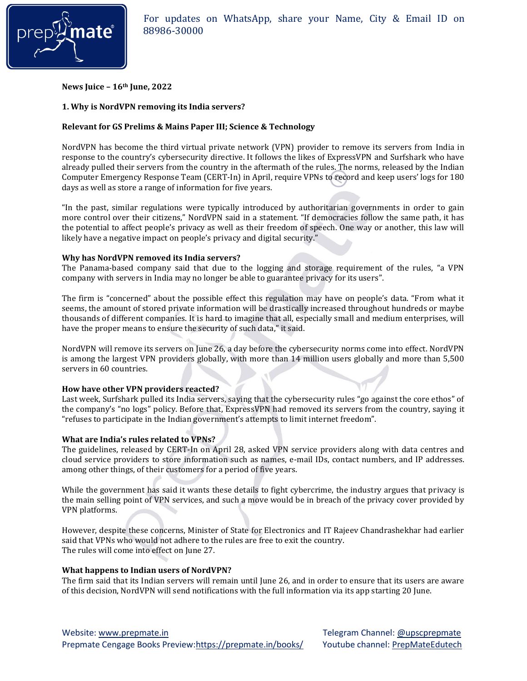

**News Juice – 16th June, 2022**

# **1. Why is NordVPN removing its India servers?**

# **Relevant for GS Prelims & Mains Paper III; Science & Technology**

NordVPN has become the third virtual private network (VPN) provider to remove its servers from India in response to the country's cybersecurity directive. It follows the likes of ExpressVPN and Surfshark who have already pulled their servers from the country in the aftermath of the rules. The norms, released by the Indian Computer Emergency Response Team (CERT-In) in April, require VPNs to record and keep users' logs for 180 days as well as store a range of information for five years.

"In the past, similar regulations were typically introduced by authoritarian governments in order to gain more control over their citizens," NordVPN said in a statement. "If democracies follow the same path, it has the potential to affect people's privacy as well as their freedom of speech. One way or another, this law will likely have a negative impact on people's privacy and digital security."

# **Why has NordVPN removed its India servers?**

The Panama-based company said that due to the logging and storage requirement of the rules, "a VPN company with servers in India may no longer be able to guarantee privacy for its users".

The firm is "concerned" about the possible effect this regulation may have on people's data. "From what it seems, the amount of stored private information will be drastically increased throughout hundreds or maybe thousands of different companies. It is hard to imagine that all, especially small and medium enterprises, will have the proper means to ensure the security of such data," it said.

NordVPN will remove its servers on June 26, a day before the cybersecurity norms come into effect. NordVPN is among the largest VPN providers globally, with more than 14 million users globally and more than 5,500 servers in 60 countries.

## **How have other VPN providers reacted?**

Last week, Surfshark pulled its India servers, saying that the cybersecurity rules "go against the core ethos" of the company's "no logs" policy. Before that, ExpressVPN had removed its servers from the country, saying it "refuses to participate in the Indian government's attempts to limit internet freedom".

## **What are India's rules related to VPNs?**

The guidelines, released by CERT-In on April 28, asked VPN service providers along with data centres and cloud service providers to store information such as names, e-mail IDs, contact numbers, and IP addresses. among other things, of their customers for a period of five years.

While the government has said it wants these details to fight cybercrime, the industry argues that privacy is the main selling point of VPN services, and such a move would be in breach of the privacy cover provided by VPN platforms.

However, despite these concerns, Minister of State for Electronics and IT Rajeev Chandrashekhar had earlier said that VPNs who would not adhere to the rules are free to exit the country. The rules will come into effect on June 27.

## **What happens to Indian users of NordVPN?**

The firm said that its Indian servers will remain until June 26, and in order to ensure that its users are aware of this decision, NordVPN will send notifications with the full information via its app starting 20 June.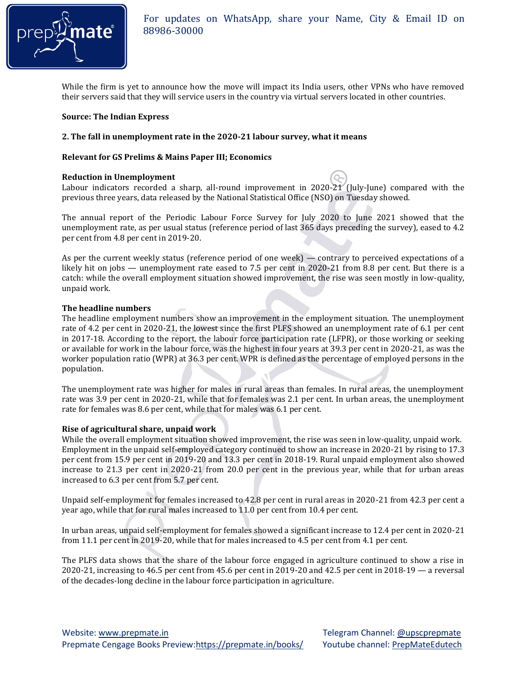

While the firm is yet to announce how the move will impact its India users, other VPNs who have removed their servers said that they will service users in the country via virtual servers located in other countries.

#### **Source: The Indian Express**

#### **2. The fall in unemployment rate in the 2020-21 labour survey, what it means**

#### **Relevant for GS Prelims & Mains Paper III; Economics**

#### **Reduction in Unemployment**

Labour indicators recorded a sharp, all-round improvement in 2020-21 (July-June) compared with the previous three years, data released by the National Statistical Office (NSO) on Tuesday showed.

The annual report of the Periodic Labour Force Survey for July 2020 to June 2021 showed that the unemployment rate, as per usual status (reference period of last 365 days preceding the survey), eased to 4.2 per cent from 4.8 per cent in 2019-20.

As per the current weekly status (reference period of one week) — contrary to perceived expectations of a likely hit on jobs — unemployment rate eased to 7.5 per cent in 2020-21 from 8.8 per cent. But there is a catch: while the overall employment situation showed improvement, the rise was seen mostly in low-quality, unpaid work.

#### **The headline numbers**

The headline employment numbers show an improvement in the employment situation. The unemployment rate of 4.2 per cent in 2020-21, the lowest since the first PLFS showed an unemployment rate of 6.1 per cent in 2017-18. According to the report, the labour force participation rate (LFPR), or those working or seeking or available for work in the labour force, was the highest in four years at 39.3 per cent in 2020-21, as was the worker population ratio (WPR) at 36.3 per cent. WPR is defined as the percentage of employed persons in the population.

The unemployment rate was higher for males in rural areas than females. In rural areas, the unemployment rate was 3.9 per cent in 2020-21, while that for females was 2.1 per cent. In urban areas, the unemployment rate for females was 8.6 per cent, while that for males was 6.1 per cent.

#### **Rise of agricultural share, unpaid work**

While the overall employment situation showed improvement, the rise was seen in low-quality, unpaid work. Employment in the unpaid self-employed category continued to show an increase in 2020-21 by rising to 17.3 per cent from 15.9 per cent in 2019-20 and 13.3 per cent in 2018-19. Rural unpaid employment also showed increase to 21.3 per cent in 2020-21 from 20.0 per cent in the previous year, while that for urban areas increased to 6.3 per cent from 5.7 per cent.

Unpaid self-employment for females increased to 42.8 per cent in rural areas in 2020-21 from 42.3 per cent a year ago, while that for rural males increased to 11.0 per cent from 10.4 per cent.

In urban areas, unpaid self-employment for females showed a significant increase to 12.4 per cent in 2020-21 from 11.1 per cent in 2019-20, while that for males increased to 4.5 per cent from 4.1 per cent.

The PLFS data shows that the share of the labour force engaged in agriculture continued to show a rise in 2020-21, increasing to 46.5 per cent from 45.6 per cent in 2019-20 and 42.5 per cent in 2018-19 — a reversal of the decades-long decline in the labour force participation in agriculture.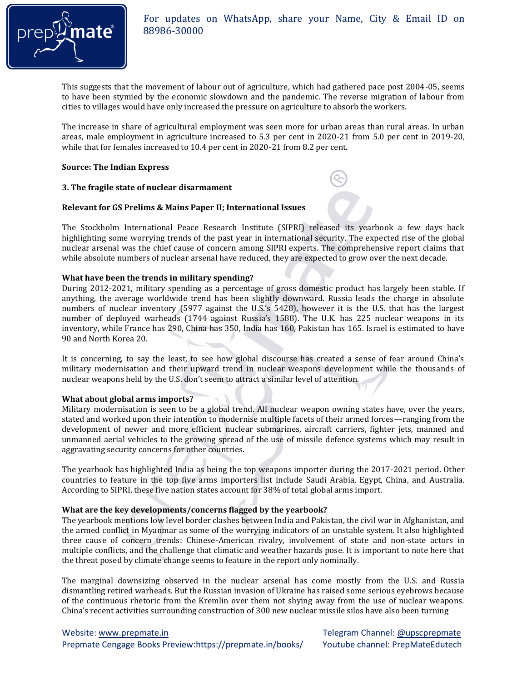

This suggests that the movement of labour out of agriculture, which had gathered pace post 2004-05, seems to have been stymied by the economic slowdown and the pandemic. The reverse migration of labour from cities to villages would have only increased the pressure on agriculture to absorb the workers.

The increase in share of agricultural employment was seen more for urban areas than rural areas. In urban areas, male employment in agriculture increased to 5.3 per cent in 2020-21 from 5.0 per cent in 2019-20, while that for females increased to 10.4 per cent in 2020-21 from 8.2 per cent.

## **Source: The Indian Express**

## **3. The fragile state of nuclear disarmament**

## **Relevant for GS Prelims & Mains Paper II; International Issues**

The Stockholm International Peace Research Institute (SIPRI) released its yearbook a few days back highlighting some worrying trends of the past year in international security. The expected rise of the global nuclear arsenal was the chief cause of concern among SIPRI experts. The comprehensive report claims that while absolute numbers of nuclear arsenal have reduced, they are expected to grow over the next decade.

## **What have been the trends in military spending?**

During 2012-2021, military spending as a percentage of gross domestic product has largely been stable. If anything, the average worldwide trend has been slightly downward. Russia leads the charge in absolute numbers of nuclear inventory (5977 against the U.S.'s 5428), however it is the U.S. that has the largest number of deployed warheads (1744 against Russia's 1588). The U.K. has 225 nuclear weapons in its inventory, while France has 290, China has 350, India has 160, Pakistan has 165. Israel is estimated to have 90 and North Korea 20.

It is concerning, to say the least, to see how global discourse has created a sense of fear around China's military modernisation and their upward trend in nuclear weapons development while the thousands of nuclear weapons held by the U.S. don't seem to attract a similar level of attention.

## **What about global arms imports?**

Military modernisation is seen to be a global trend. All nuclear weapon owning states have, over the years, stated and worked upon their intention to modernise multiple facets of their armed forces—ranging from the development of newer and more efficient nuclear submarines, aircraft carriers, fighter jets, manned and unmanned aerial vehicles to the growing spread of the use of missile defence systems which may result in aggravating security concerns for other countries.

The yearbook has highlighted India as being the top weapons importer during the 2017-2021 period. Other countries to feature in the top five arms importers list include Saudi Arabia, Egypt, China, and Australia. According to SIPRI, these five nation states account for 38% of total global arms import.

## **What are the key developments/concerns flagged by the yearbook?**

The yearbook mentions low level border clashes between India and Pakistan, the civil war in Afghanistan, and the armed conflict in Myanmar as some of the worrying indicators of an unstable system. It also highlighted three cause of concern trends: Chinese-American rivalry, involvement of state and non-state actors in multiple conflicts, and the challenge that climatic and weather hazards pose. It is important to note here that the threat posed by climate change seems to feature in the report only nominally.

The marginal downsizing observed in the nuclear arsenal has come mostly from the U.S. and Russia dismantling retired warheads. But the Russian invasion of Ukraine has raised some serious eyebrows because of the continuous rhetoric from the Kremlin over them not shying away from the use of nuclear weapons. China's recent activities surrounding construction of 300 new nuclear missile silos have also been turning